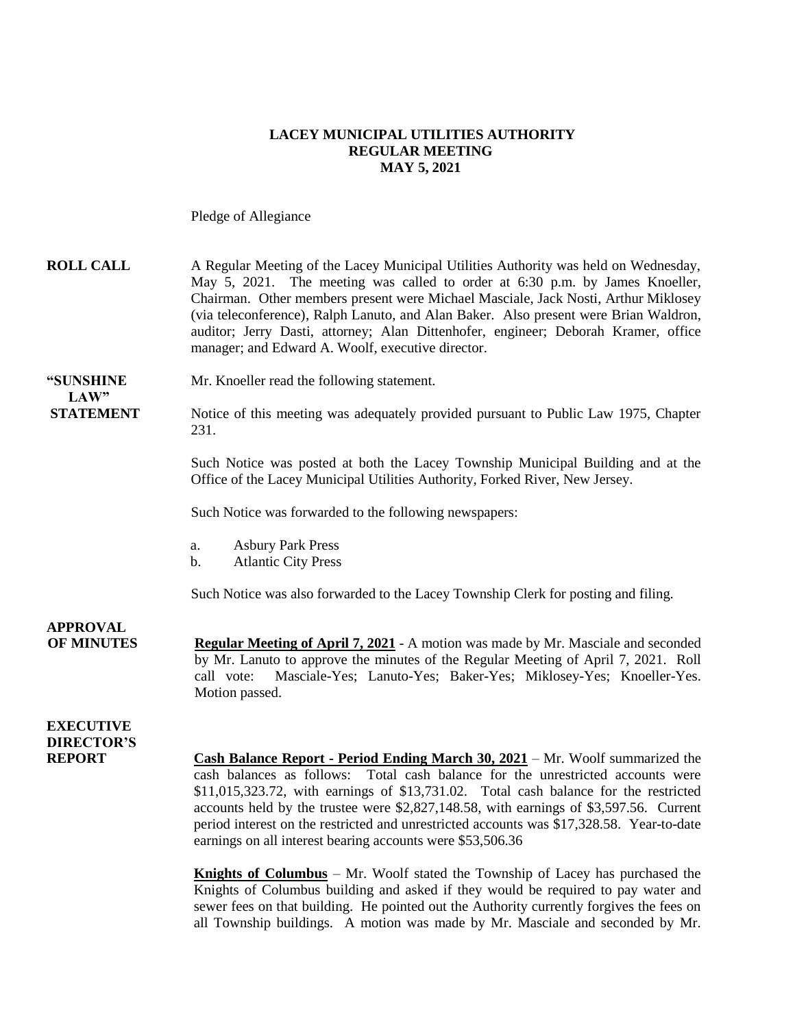#### **LACEY MUNICIPAL UTILITIES AUTHORITY REGULAR MEETING MAY 5, 2021**

Pledge of Allegiance

| <b>ROLL CALL</b>                                       | A Regular Meeting of the Lacey Municipal Utilities Authority was held on Wednesday,<br>May 5, 2021. The meeting was called to order at 6:30 p.m. by James Knoeller,<br>Chairman. Other members present were Michael Masciale, Jack Nosti, Arthur Miklosey<br>(via teleconference), Ralph Lanuto, and Alan Baker. Also present were Brian Waldron,<br>auditor; Jerry Dasti, attorney; Alan Dittenhofer, engineer; Deborah Kramer, office<br>manager; and Edward A. Woolf, executive director.                         |
|--------------------------------------------------------|----------------------------------------------------------------------------------------------------------------------------------------------------------------------------------------------------------------------------------------------------------------------------------------------------------------------------------------------------------------------------------------------------------------------------------------------------------------------------------------------------------------------|
| "SUNSHINE<br>LAW"                                      | Mr. Knoeller read the following statement.                                                                                                                                                                                                                                                                                                                                                                                                                                                                           |
| <b>STATEMENT</b>                                       | Notice of this meeting was adequately provided pursuant to Public Law 1975, Chapter<br>231.                                                                                                                                                                                                                                                                                                                                                                                                                          |
|                                                        | Such Notice was posted at both the Lacey Township Municipal Building and at the<br>Office of the Lacey Municipal Utilities Authority, Forked River, New Jersey.                                                                                                                                                                                                                                                                                                                                                      |
|                                                        | Such Notice was forwarded to the following newspapers:                                                                                                                                                                                                                                                                                                                                                                                                                                                               |
|                                                        | <b>Asbury Park Press</b><br>a.<br><b>Atlantic City Press</b><br>$\mathbf b$ .                                                                                                                                                                                                                                                                                                                                                                                                                                        |
|                                                        | Such Notice was also forwarded to the Lacey Township Clerk for posting and filing.                                                                                                                                                                                                                                                                                                                                                                                                                                   |
| <b>APPROVAL</b><br><b>OF MINUTES</b>                   | <b>Regular Meeting of April 7, 2021</b> - A motion was made by Mr. Masciale and seconded<br>by Mr. Lanuto to approve the minutes of the Regular Meeting of April 7, 2021. Roll<br>Masciale-Yes; Lanuto-Yes; Baker-Yes; Miklosey-Yes; Knoeller-Yes.<br>call vote:<br>Motion passed.                                                                                                                                                                                                                                   |
| <b>EXECUTIVE</b><br><b>DIRECTOR'S</b><br><b>REPORT</b> | <b>Cash Balance Report - Period Ending March 30, 2021</b> – Mr. Woolf summarized the<br>cash balances as follows: Total cash balance for the unrestricted accounts were<br>\$11,015,323.72, with earnings of \$13,731.02. Total cash balance for the restricted<br>accounts held by the trustee were \$2,827,148.58, with earnings of \$3,597.56. Current<br>period interest on the restricted and unrestricted accounts was \$17,328.58. Year-to-date<br>earnings on all interest bearing accounts were \$53,506.36 |
|                                                        | <b>Knights of Columbus</b> – Mr. Woolf stated the Township of Lacey has purchased the<br>Knights of Columbus building and asked if they would be required to pay water and<br>sewer fees on that building. He pointed out the Authority currently forgives the fees on                                                                                                                                                                                                                                               |

all Township buildings. A motion was made by Mr. Masciale and seconded by Mr.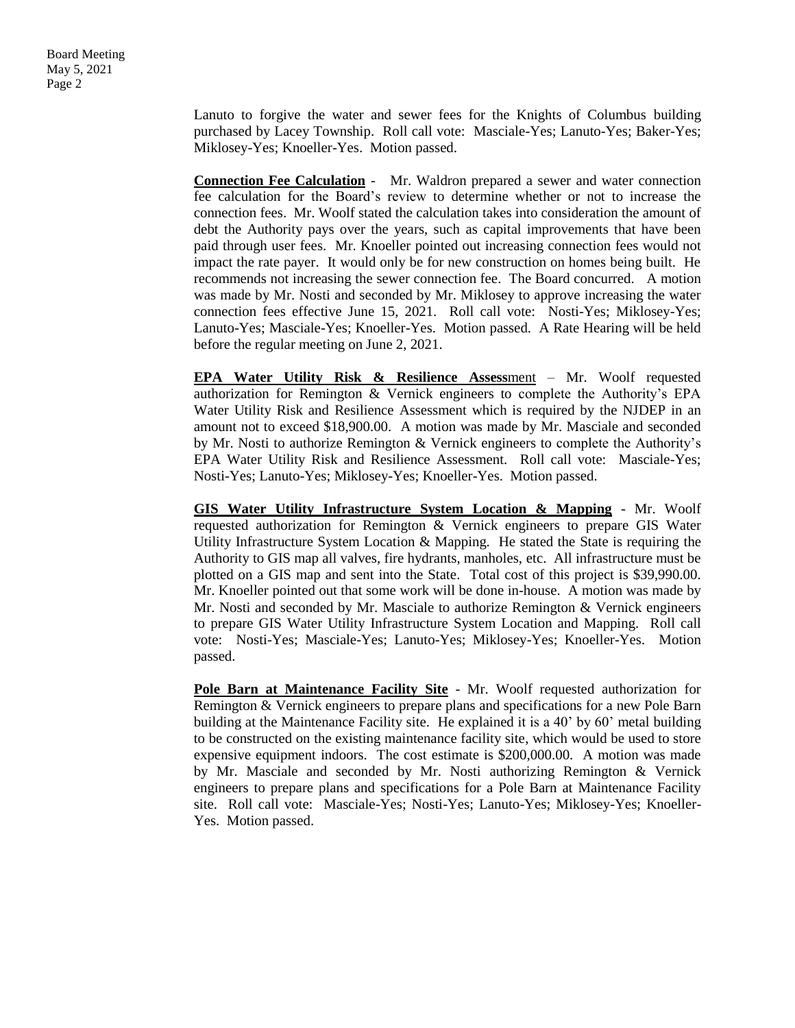Lanuto to forgive the water and sewer fees for the Knights of Columbus building purchased by Lacey Township. Roll call vote: Masciale-Yes; Lanuto-Yes; Baker-Yes; Miklosey-Yes; Knoeller-Yes. Motion passed.

**Connection Fee Calculation** - Mr. Waldron prepared a sewer and water connection fee calculation for the Board's review to determine whether or not to increase the connection fees. Mr. Woolf stated the calculation takes into consideration the amount of debt the Authority pays over the years, such as capital improvements that have been paid through user fees. Mr. Knoeller pointed out increasing connection fees would not impact the rate payer. It would only be for new construction on homes being built. He recommends not increasing the sewer connection fee. The Board concurred. A motion was made by Mr. Nosti and seconded by Mr. Miklosey to approve increasing the water connection fees effective June 15, 2021. Roll call vote: Nosti-Yes; Miklosey-Yes; Lanuto-Yes; Masciale-Yes; Knoeller-Yes. Motion passed. A Rate Hearing will be held before the regular meeting on June 2, 2021.

**EPA Water Utility Risk & Resilience Assess**ment – Mr. Woolf requested authorization for Remington & Vernick engineers to complete the Authority's EPA Water Utility Risk and Resilience Assessment which is required by the NJDEP in an amount not to exceed \$18,900.00. A motion was made by Mr. Masciale and seconded by Mr. Nosti to authorize Remington & Vernick engineers to complete the Authority's EPA Water Utility Risk and Resilience Assessment. Roll call vote: Masciale-Yes; Nosti-Yes; Lanuto-Yes; Miklosey-Yes; Knoeller-Yes. Motion passed.

**GIS Water Utility Infrastructure System Location & Mapping** - Mr. Woolf requested authorization for Remington & Vernick engineers to prepare GIS Water Utility Infrastructure System Location & Mapping. He stated the State is requiring the Authority to GIS map all valves, fire hydrants, manholes, etc. All infrastructure must be plotted on a GIS map and sent into the State. Total cost of this project is \$39,990.00. Mr. Knoeller pointed out that some work will be done in-house. A motion was made by Mr. Nosti and seconded by Mr. Masciale to authorize Remington & Vernick engineers to prepare GIS Water Utility Infrastructure System Location and Mapping. Roll call vote: Nosti-Yes; Masciale-Yes; Lanuto-Yes; Miklosey-Yes; Knoeller-Yes. Motion passed.

**Pole Barn at Maintenance Facility Site** - Mr. Woolf requested authorization for Remington & Vernick engineers to prepare plans and specifications for a new Pole Barn building at the Maintenance Facility site. He explained it is a 40' by 60' metal building to be constructed on the existing maintenance facility site, which would be used to store expensive equipment indoors. The cost estimate is \$200,000.00. A motion was made by Mr. Masciale and seconded by Mr. Nosti authorizing Remington & Vernick engineers to prepare plans and specifications for a Pole Barn at Maintenance Facility site. Roll call vote: Masciale-Yes; Nosti-Yes; Lanuto-Yes; Miklosey-Yes; Knoeller-Yes. Motion passed.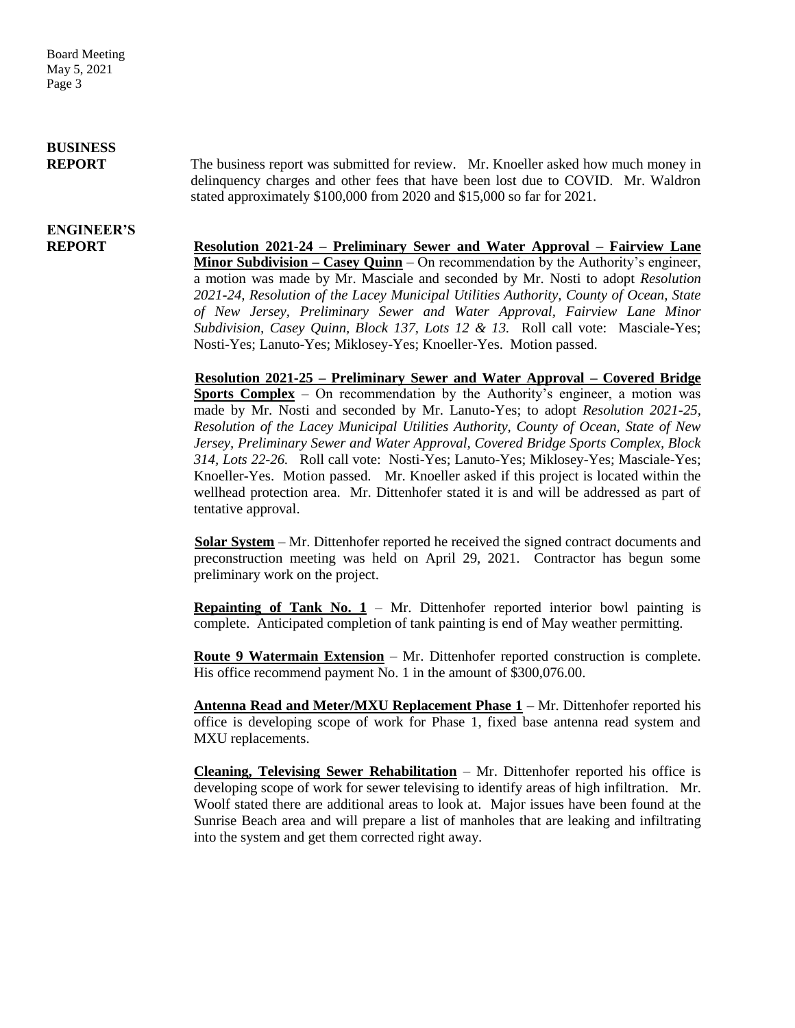Board Meeting May 5, 2021 Page 3

### **BUSINESS**

**REPORT** The business report was submitted for review. Mr. Knoeller asked how much money in delinquency charges and other fees that have been lost due to COVID. Mr. Waldron stated approximately \$100,000 from 2020 and \$15,000 so far for 2021.

# **ENGINEER'S**

**REPORT Resolution 2021-24 – Preliminary Sewer and Water Approval – Fairview Lane Minor Subdivision – Casey Quinn** – On recommendation by the Authority's engineer, a motion was made by Mr. Masciale and seconded by Mr. Nosti to adopt *Resolution 2021-24, Resolution of the Lacey Municipal Utilities Authority, County of Ocean, State of New Jersey, Preliminary Sewer and Water Approval, Fairview Lane Minor Subdivision, Casey Quinn, Block 137, Lots 12 & 13.* Roll call vote: Masciale-Yes; Nosti-Yes; Lanuto-Yes; Miklosey-Yes; Knoeller-Yes. Motion passed.

> **Resolution 2021-25 – Preliminary Sewer and Water Approval – Covered Bridge Sports Complex** – On recommendation by the Authority's engineer, a motion was made by Mr. Nosti and seconded by Mr. Lanuto-Yes; to adopt *Resolution 2021-25, Resolution of the Lacey Municipal Utilities Authority, County of Ocean, State of New Jersey, Preliminary Sewer and Water Approval, Covered Bridge Sports Complex, Block 314, Lots 22-26.* Roll call vote: Nosti-Yes; Lanuto-Yes; Miklosey-Yes; Masciale-Yes; Knoeller-Yes. Motion passed. Mr. Knoeller asked if this project is located within the wellhead protection area. Mr. Dittenhofer stated it is and will be addressed as part of tentative approval.

> **Solar System** – Mr. Dittenhofer reported he received the signed contract documents and preconstruction meeting was held on April 29, 2021. Contractor has begun some preliminary work on the project.

> **Repainting of Tank No. 1** – Mr. Dittenhofer reported interior bowl painting is complete. Anticipated completion of tank painting is end of May weather permitting.

> **Route 9 Watermain Extension** – Mr. Dittenhofer reported construction is complete. His office recommend payment No. 1 in the amount of \$300,076.00.

> **Antenna Read and Meter/MXU Replacement Phase 1 –** Mr. Dittenhofer reported his office is developing scope of work for Phase 1, fixed base antenna read system and MXU replacements.

> **Cleaning, Televising Sewer Rehabilitation** – Mr. Dittenhofer reported his office is developing scope of work for sewer televising to identify areas of high infiltration. Mr. Woolf stated there are additional areas to look at. Major issues have been found at the Sunrise Beach area and will prepare a list of manholes that are leaking and infiltrating into the system and get them corrected right away.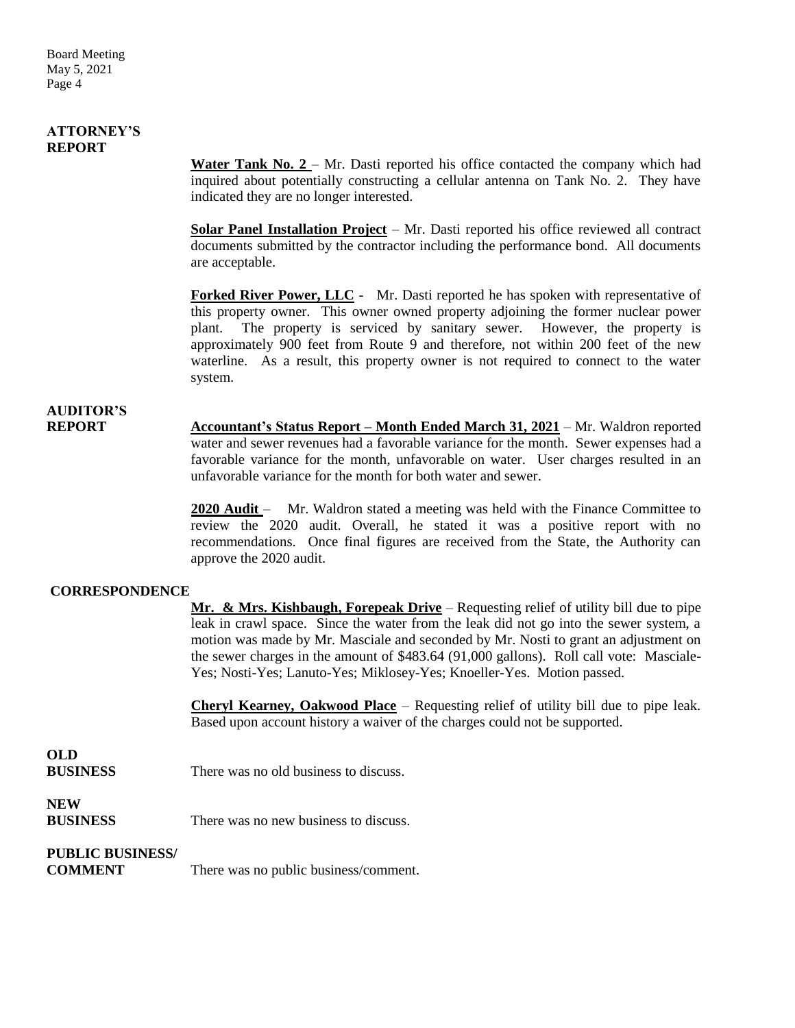#### **ATTORNEY'S REPORT**

Water Tank No. 2 – Mr. Dasti reported his office contacted the company which had inquired about potentially constructing a cellular antenna on Tank No. 2. They have indicated they are no longer interested.

**Solar Panel Installation Project** – Mr. Dasti reported his office reviewed all contract documents submitted by the contractor including the performance bond. All documents are acceptable.

**Forked River Power, LLC** - Mr. Dasti reported he has spoken with representative of this property owner. This owner owned property adjoining the former nuclear power plant. The property is serviced by sanitary sewer. However, the property is approximately 900 feet from Route 9 and therefore, not within 200 feet of the new waterline. As a result, this property owner is not required to connect to the water system.

## **AUDITOR'S**

**REPORT Accountant's Status Report – Month Ended March 31, 2021** – Mr. Waldron reported water and sewer revenues had a favorable variance for the month. Sewer expenses had a favorable variance for the month, unfavorable on water. User charges resulted in an unfavorable variance for the month for both water and sewer.

> **2020 Audit** – Mr. Waldron stated a meeting was held with the Finance Committee to review the 2020 audit. Overall, he stated it was a positive report with no recommendations. Once final figures are received from the State, the Authority can approve the 2020 audit.

#### **CORRESPONDENCE**

**Mr. & Mrs. Kishbaugh, Forepeak Drive** – Requesting relief of utility bill due to pipe leak in crawl space. Since the water from the leak did not go into the sewer system, a motion was made by Mr. Masciale and seconded by Mr. Nosti to grant an adjustment on the sewer charges in the amount of \$483.64 (91,000 gallons). Roll call vote: Masciale-Yes; Nosti-Yes; Lanuto-Yes; Miklosey-Yes; Knoeller-Yes. Motion passed.

**Cheryl Kearney, Oakwood Place** – Requesting relief of utility bill due to pipe leak. Based upon account history a waiver of the charges could not be supported.

### **OLD**

**BUSINESS** There was no old business to discuss.

### **NEW**

There was no new business to discuss.

### **PUBLIC BUSINESS/**

**COMMENT** There was no public business/comment.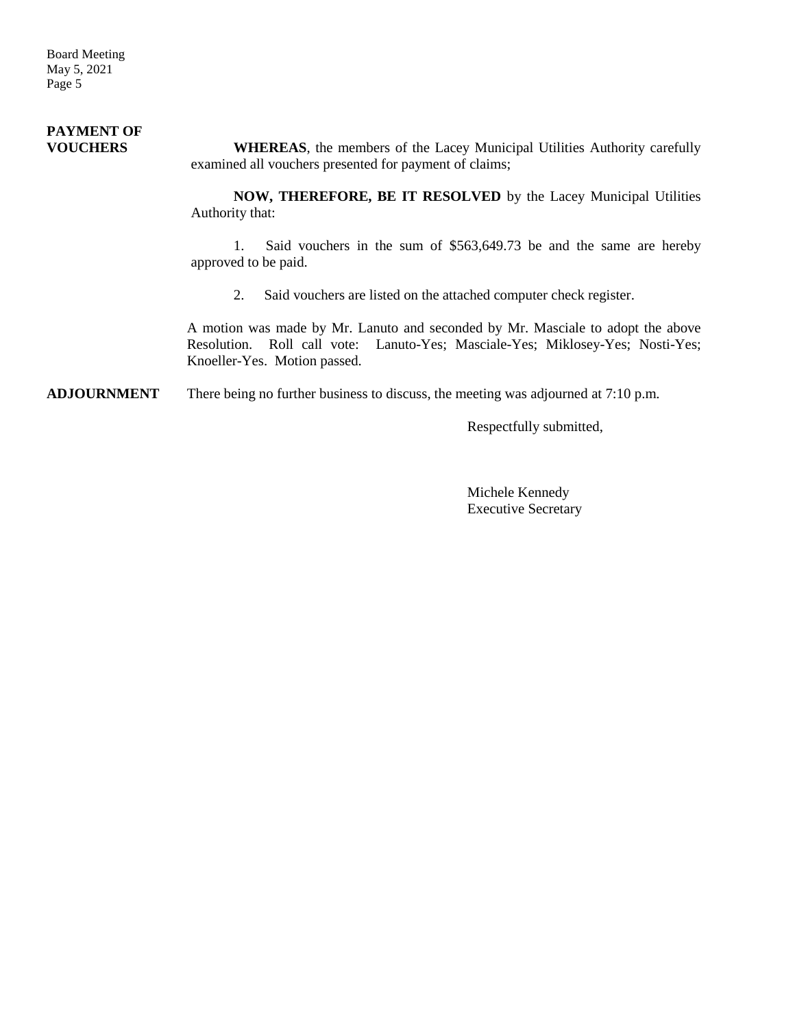Board Meeting May 5, 2021 Page 5

#### **PAYMENT OF VOUCHERS WHEREAS**, the members of the Lacey Municipal Utilities Authority carefully examined all vouchers presented for payment of claims;

**NOW, THEREFORE, BE IT RESOLVED** by the Lacey Municipal Utilities Authority that:

1. Said vouchers in the sum of \$563,649.73 be and the same are hereby approved to be paid.

2. Said vouchers are listed on the attached computer check register.

A motion was made by Mr. Lanuto and seconded by Mr. Masciale to adopt the above Resolution. Roll call vote: Lanuto-Yes; Masciale-Yes; Miklosey-Yes; Nosti-Yes; Knoeller-Yes. Motion passed.

**ADJOURNMENT** There being no further business to discuss, the meeting was adjourned at 7:10 p.m.

Respectfully submitted,

Michele Kennedy Executive Secretary